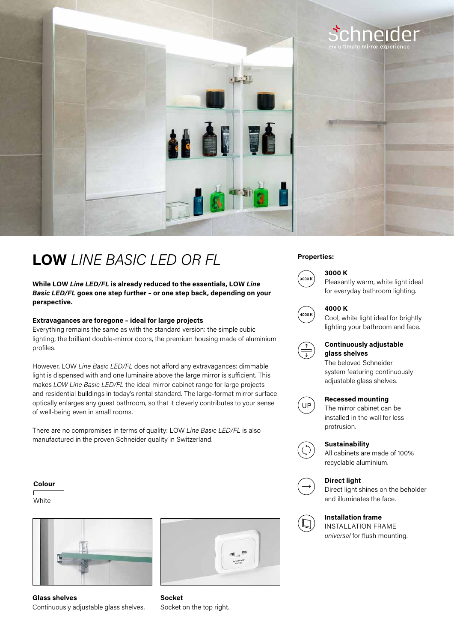

# **Properties: LOW** *LINE BASIC LED OR FL*

**While LOW** *Line LED/FL* **is already reduced to the essentials, LOW** *Line Basic LED/FL* **goes one step further – or one step back, depending on your perspective.** 

# **Extravagances are foregone – ideal for large projects**

Everything remains the same as with the standard version: the simple cubic lighting, the brilliant double-mirror doors, the premium housing made of aluminium profiles.

However, LOW *Line Basic LED/FL* does not afford any extravagances: dimmable light is dispensed with and one luminaire above the large mirror is sufficient. This makes *LOW Line Basic LED/FL* the ideal mirror cabinet range for large projects and residential buildings in today's rental standard. The large-format mirror surface optically enlarges any guest bathroom, so that it cleverly contributes to your sense of well-being even in small rooms.

There are no compromises in terms of quality: LOW *Line Basic LED/FL* is also manufactured in the proven Schneider quality in Switzerland. **Sustainability Sustainability** 

# **Colour**

**White** 



**Glass shelves** Continuously adjustable glass shelves.



**Socket**  Socket on the top right.

## **3000 K**



Pleasantly warm, white light ideal for everyday bathroom lighting.



# **4000 K**

Cool, white light ideal for brightly lighting your bathroom and face.



## **Continuously adjustable glass shelves**

The beloved Schneider system featuring continuously adjustable glass shelves.

## **Recessed mounting**



The mirror cabinet can be installed in the wall for less protrusion.



All cabinets are made of 100% recyclable aluminium.



# **Direct light**

Direct light shines on the beholder and illuminates the face.



# **Installation frame**

INSTALLATION FRAME *universal* for flush mounting.